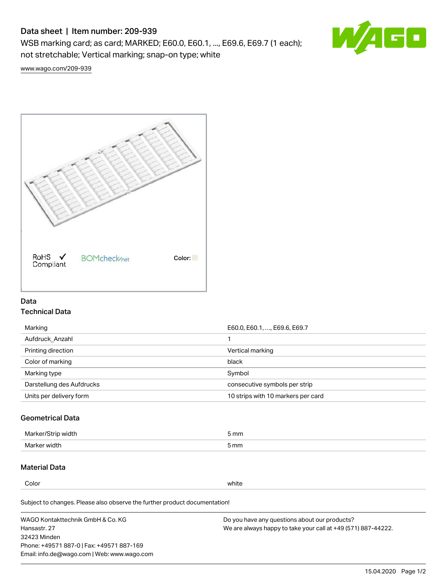# Data sheet | Item number: 209-939

WSB marking card; as card; MARKED; E60.0, E60.1, ..., E69.6, E69.7 (1 each); not stretchable; Vertical marking; snap-on type; white



[www.wago.com/209-939](http://www.wago.com/209-939)



## Data Technical Data

| Marking                   | E60.0, E60.1, , E69.6, E69.7       |
|---------------------------|------------------------------------|
| Aufdruck Anzahl           |                                    |
| Printing direction        | Vertical marking                   |
| Color of marking          | black                              |
| Marking type              | Symbol                             |
| Darstellung des Aufdrucks | consecutive symbols per strip      |
| Units per delivery form   | 10 strips with 10 markers per card |

## Geometrical Data

| طلقاء ئ<br><b>Marker</b><br>widtr | ັກmm |
|-----------------------------------|------|
| Marker width                      | 5 mm |

# Material Data

Color white

Subject to changes. Please also observe the further product documentation!

WAGO Kontakttechnik GmbH & Co. KG Hansastr. 27 32423 Minden Phone: +49571 887-0 | Fax: +49571 887-169 Email: info.de@wago.com | Web: www.wago.com Do you have any questions about our products? We are always happy to take your call at +49 (571) 887-44222.